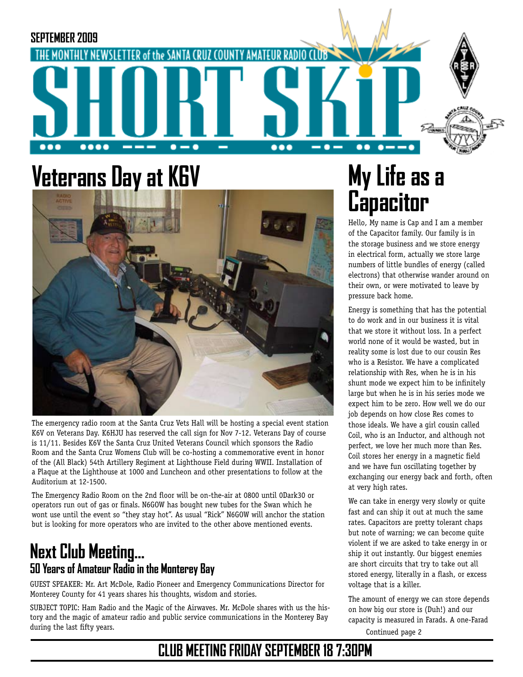

# **Veterans Day at K6V**



The emergency radio room at the Santa Cruz Vets Hall will be hosting a special event station K6V on Veterans Day. K6HJU has reserved the call sign for Nov 7-12. Veterans Day of course is 11/11. Besides K6V the Santa Cruz United Veterans Council which sponsors the Radio Room and the Santa Cruz Womens Club will be co-hosting a commemorative event in honor of the (All Black) 54th Artillery Regiment at Lighthouse Field during WWII. Installation of a Plaque at the Lighthouse at 1000 and Luncheon and other presentations to follow at the Auditorium at 12-1500.

The Emergency Radio Room on the 2nd floor will be on-the-air at 0800 until 0Dark30 or operators run out of gas or finals. N6GOW has bought new tubes for the Swan which he wont use until the event so "they stay hot". As usual "Rick" N6GOW will anchor the station but is looking for more operators who are invited to the other above mentioned events.

### **Next Club Meeting... 50 Years of Amateur Radio in the Monterey Bay**

GUEST SPEAKER: Mr. Art McDole, Radio Pioneer and Emergency Communications Director for Monterey County for 41 years shares his thoughts, wisdom and stories.

SUBJECT TOPIC: Ham Radio and the Magic of the Airwaves. Mr. McDole shares with us the history and the magic of amateur radio and public service communications in the Monterey Bay during the last fifty years. Continued page 2

# **My Life as a Capacitor**

Hello, My name is Cap and I am a member of the Capacitor family. Our family is in the storage business and we store energy in electrical form, actually we store large numbers of little bundles of energy (called electrons) that otherwise wander around on their own, or were motivated to leave by pressure back home.

Energy is something that has the potential to do work and in our business it is vital that we store it without loss. In a perfect world none of it would be wasted, but in reality some is lost due to our cousin Res who is a Resistor. We have a complicated relationship with Res, when he is in his shunt mode we expect him to be infinitely large but when he is in his series mode we expect him to be zero. How well we do our job depends on how close Res comes to those ideals. We have a girl cousin called Coil, who is an Inductor, and although not perfect, we love her much more than Res. Coil stores her energy in a magnetic field and we have fun oscillating together by exchanging our energy back and forth, often at very high rates.

We can take in energy very slowly or quite fast and can ship it out at much the same rates. Capacitors are pretty tolerant chaps but note of warning; we can become quite violent if we are asked to take energy in or ship it out instantly. Our biggest enemies are short circuits that try to take out all stored energy, literally in a flash, or excess voltage that is a killer.

The amount of energy we can store depends on how big our store is (Duh!) and our capacity is measured in Farads. A one-Farad

## **CLUB MEETING FRIDAY SEPTEMBER 18 7:30PM**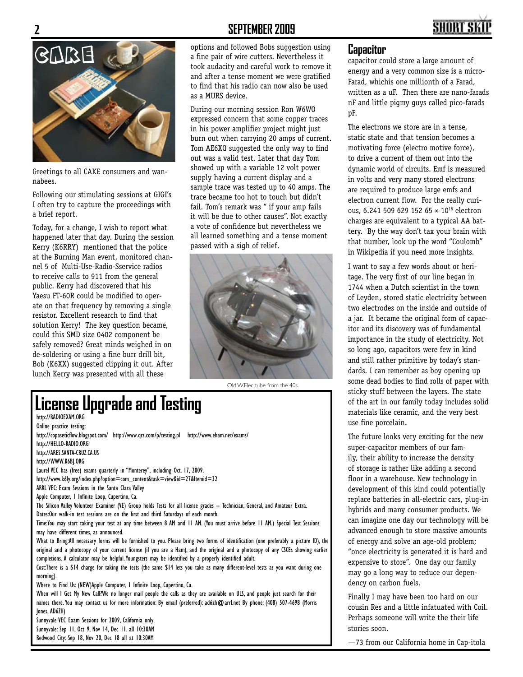#### **2 SEPTEMBER 2009**





Greetings to all CAKE consumers and wannabees.

Following our stimulating sessions at GIGI's I often try to capture the proceedings with a brief report.

Today, for a change, I wish to report what happened later that day. During the session Kerry (K6RRY) mentioned that the police at the Burning Man event, monitored channel 5 of Multi-Use-Radio-Sservice radios to receive calls to 911 from the general public. Kerry had discovered that his Yaesu FT-60R could be modified to operate on that frequency by removing a single resistor. Excellent research to find that solution Kerry! The key question became, could this SMD size 0402 component be safely removed? Great minds weighed in on de-soldering or using a fine burr drill bit, Bob (K6XX) suggested clipping it out. After lunch Kerry was presented with all these

options and followed Bobs suggestion using a fine pair of wire cutters. Nevertheless it took audacity and careful work to remove it and after a tense moment we were gratified to find that his radio can now also be used as a MURS device.

During our morning session Ron W6WO expressed concern that some copper traces in his power amplifier project might just burn out when carrying 20 amps of current. Tom AE6XQ suggested the only way to find out was a valid test. Later that day Tom showed up with a variable 12 volt power supply having a current display and a sample trace was tested up to 40 amps. The trace became too hot to touch but didn't fail. Tom's remark was " if your amp fails it will be due to other causes". Not exactly a vote of confidence but nevertheless we all learned something and a tense moment passed with a sigh of relief.



Old W.Elec tube from the 40s.

## **License Upgrade and Testing**

http://RADIOEXAM.ORG Online practice testing:

http://copaseticflow.blogspot.com/ http://www.qrz.com/p/testing.pl http://www.eham.net/exams/ http://HELLO-RADIO.ORG http://ARES.SANTA-CRUZ.CA.US http://WWW.K6BJ.ORG Laurel VEC has (free) exams quarterly in "Monterey", including Oct. 17, 2009. http://www.k6ly.org/index.php?option=com\_content&task=view&id=27&Itemid=32 ARRL VEC: Exam Sessions in the Santa Clara Valley Apple Computer, 1 Infinite Loop, Cupertino, Ca. The Silicon Valley Volunteer Examiner (VE) Group holds Tests for all license grades -- Technician, General, and Amateur Extra. Dates:Our walk-in test sessions are on the first and third Saturdays of each month. Time:You may start taking your test at any time between 8 AM and 11 AM. (You must arrive before 11 AM.) Special Test Sessions may have different times, as announced. What to Bring:All necessary forms will be furnished to you. Please bring two forms of identification (one preferably a picture ID), the original and a photocopy of your current license (if you are a Ham), and the original and a photocopy of any CSCEs showing earlier completions. A calculator may be helpful. Youngsters may be identified by a properly identified adult. Cost:There is a \$14 charge for taking the tests (the same \$14 lets you take as many different-level tests as you want during one morning). Where to Find Us: (NEW)Apple Computer, 1 Infinite Loop, Cupertino, Ca.

When will I Get My New Call?We no longer mail people the calls as they are available on ULS, and people just search for their names there. You may contact us for more information: By email (preferred): ad6zh@arrl.net By phone: (408) 507-4698 (Morris Jones, AD6ZH)

Sunnyvale VEC Exam Sessions for 2009, California only. Sunnyvale: Sep 11, Oct 9, Nov 14, Dec 11. all 10:30AM Redwood City: Sep 18, Nov 20, Dec 18 all at 10:30AM

#### **Capacitor**

capacitor could store a large amount of energy and a very common size is a micro-Farad, whichis one millionth of a Farad, written as a uF. Then there are nano-farads nF and little pigmy guys called pico-farads pF.

The electrons we store are in a tense, static state and that tension becomes a motivating force (electro motive force), to drive a current of them out into the dynamic world of circuits. Emf is measured in volts and very many stored electrons are required to produce large emfs and electron current flow. For the really curious, 6.241 509 629 152 65 × 1018 electron charges are equivalent to a typical AA battery. By the way don't tax your brain with that number, look up the word "Coulomb" in Wikipedia if you need more insights.

I want to say a few words about or heritage. The very first of our line began in 1744 when a Dutch scientist in the town of Leyden, stored static electricity between two electrodes on the inside and outside of a jar. It became the original form of capacitor and its discovery was of fundamental importance in the study of electricity. Not so long ago, capacitors were few in kind and still rather primitive by today's standards. I can remember as boy opening up some dead bodies to find rolls of paper with sticky stuff between the layers. The state of the art in our family today includes solid materials like ceramic, and the very best use fine porcelain.

The future looks very exciting for the new super-capacitor members of our family, their ability to increase the density of storage is rather like adding a second floor in a warehouse. New technology in development of this kind could potentially replace batteries in all-electric cars, plug-in hybrids and many consumer products. We can imagine one day our technology will be advanced enough to store massive amounts of energy and solve an age-old problem; "once electricity is generated it is hard and expensive to store". One day our family may go a long way to reduce our dependency on carbon fuels.

Finally I may have been too hard on our cousin Res and a little infatuated with Coil. Perhaps someone will write the their life stories soon.

—73 from our California home in Cap-itola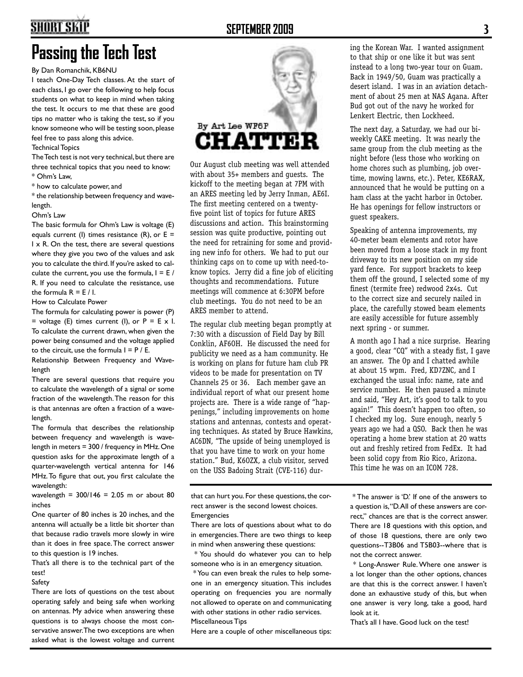## **SHORT SKII**

#### **SEPTEMBER 2009 3**

## **Passing the Tech Test**

By Dan Romanchik, KB6NU

I teach One-Day Tech classes. At the start of each class, I go over the following to help focus students on what to keep in mind when taking the test. It occurs to me that these are good tips no matter who is taking the test, so if you know someone who will be testing soon, please feel free to pass along this advice.

Technical Topics

The Tech test is not very technical, but there are three technical topics that you need to know: \* Ohm's Law,

\* how to calculate power, and

\* the relationship between frequency and wavelength.

#### Ohm's Law

The basic formula for Ohm's Law is voltage (E) equals current (I) times resistance (R), or  $E =$ I x R. On the test, there are several questions where they give you two of the values and ask you to calculate the third. If you're asked to calculate the current, you use the formula,  $I = E /$ R. If you need to calculate the resistance, use the formula  $R = E / I$ .

How to Calculate Power

The formula for calculating power is power (P) = voltage (E) times current (I), or  $P = E \times I$ . To calculate the current drawn, when given the power being consumed and the voltage applied to the circuit, use the formula  $I = P / E$ .

Relationship Between Frequency and Wavelength

There are several questions that require you to calculate the wavelength of a signal or some fraction of the wavelength. The reason for this is that antennas are often a fraction of a wavelength.

The formula that describes the relationship between frequency and wavelength is wavelength in meters = 300 / frequency in MHz. One question asks for the approximate length of a quarter-wavelength vertical antenna for 146 MHz. To figure that out, you first calculate the wavelength:

wavelength =  $300/146 = 2.05$  m or about 80 inches

One quarter of 80 inches is 20 inches, and the antenna will actually be a little bit shorter than that because radio travels more slowly in wire than it does in free space. The correct answer to this question is 19 inches.

That's all there is to the technical part of the test!

Safety

There are lots of questions on the test about operating safely and being safe when working on antennas. My advice when answering these questions is to always choose the most conservative answer. The two exceptions are when asked what is the lowest voltage and current



Our August club meeting was well attended with about 35+ members and guests. The kickoff to the meeting began at 7PM with an ARES meeting led by Jerry Inman, AE6I. The first meeting centered on a twentyfive point list of topics for future ARES discussions and action. This brainstorming session was quite productive, pointing out the need for retraining for some and providing new info for others. We had to put our thinking caps on to come up with need-toknow topics. Jerry did a fine job of eliciting thoughts and recommendations. Future meetings will commence at 6:30PM before club meetings. You do not need to be an ARES member to attend.

The regular club meeting began promptly at 7:30 with a discussion of Field Day by Bill Conklin, AF6OH. He discussed the need for publicity we need as a ham community. He is working on plans for future ham club PR videos to be made for presentation on TV Channels 25 or 36. Each member gave an individual report of what our present home projects are. There is a wide range of "happenings," including improvements on home stations and antennas, contests and operating techniques. As stated by Bruce Hawkins, AC6DN, "The upside of being unemployed is that you have time to work on your home station." Bud, K6OZX, a club visitor, served on the USS Badoing Strait (CVE-116) dur-

that can hurt you. For these questions, the correct answer is the second lowest choices. Emergencies

There are lots of questions about what to do in emergencies. There are two things to keep in mind when answering these questions:

 \* You should do whatever you can to help someone who is in an emergency situation.

 \* You can even break the rules to help someone in an emergency situation. This includes operating on frequencies you are normally not allowed to operate on and communicating with other stations in other radio services. Miscellaneous Tips

Here are a couple of other miscellaneous tips:

ing the Korean War. I wanted assignment to that ship or one like it but was sent instead to a long two-year tour on Guam. Back in 1949/50, Guam was practically a desert island. I was in an aviation detachment of about 25 men at NAS Agana. After Bud got out of the navy he worked for Lenkert Electric, then Lockheed.

The next day, a Saturday, we had our biweekly CAKE meeting. It was nearly the same group from the club meeting as the night before (less those who working on home chores such as plumbing, job overtime, mowing lawns, etc.). Peter, KE6RAX, announced that he would be putting on a ham class at the yacht harbor in October. He has openings for fellow instructors or guest speakers.

Speaking of antenna improvements, my 40-meter beam elements and rotor have been moved from a loose stack in my front driveway to its new position on my side yard fence. For support brackets to keep them off the ground, I selected some of my finest (termite free) redwood 2x4s. Cut to the correct size and securely nailed in place, the carefully stowed beam elements are easily accessible for future assembly next spring - or summer.

A month ago I had a nice surprise. Hearing a good, clear "CQ" with a steady fist, I gave an answer. The Op and I chatted awhile at about 15 wpm. Fred, KD7ZNC, and I exchanged the usual info: name, rate and service number. He then paused a minute and said, "Hey Art, it's good to talk to you again!" This doesn't happen too often, so I checked my log. Sure enough, nearly 5 years ago we had a QSO. Back then he was operating a home brew station at 20 watts out and freshly retired from FedEx. It had been solid copy from Rio Rico, Arizona. This time he was on an ICOM 728.

 \* The answer is 'D.' If one of the answers to a question is, "D. All of these answers are correct," chances are that is the correct answer. There are 18 questions with this option, and of those 18 questions, there are only two questions--T3B06 and T5B03--where that is not the correct answer.

 \* Long-Answer Rule. Where one answer is a lot longer than the other options, chances are that this is the correct answer. I haven't done an exhaustive study of this, but when one answer is very long, take a good, hard look at it.

That's all I have. Good luck on the test!